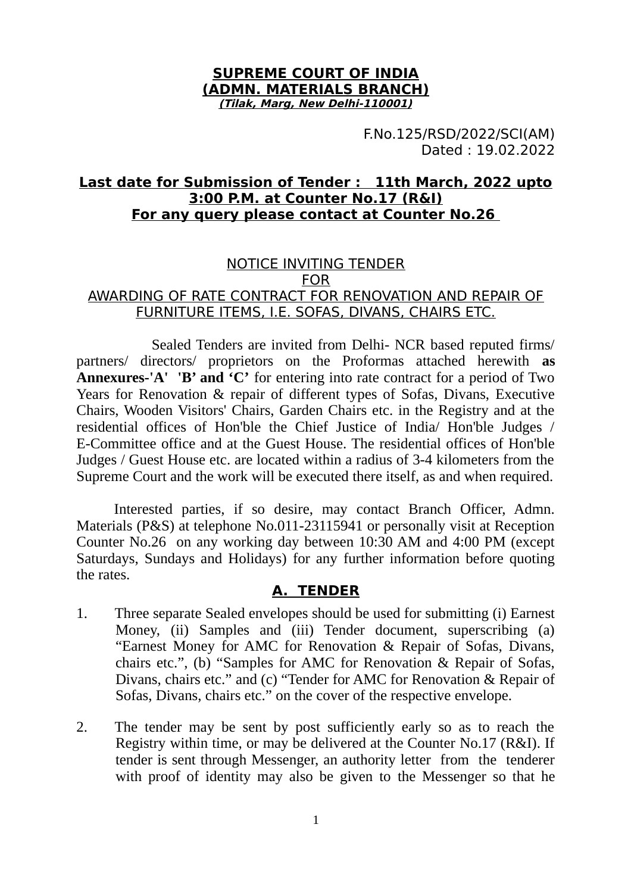#### **SUPREME COURT OF INDIA (ADMN. MATERIALS BRANCH) (Tilak, Marg, New Delhi-110001)**

F.No.125/RSD/2022/SCI(AM) Dated : 19.02.2022

# **Last date for Submission of Tender : 11th March, 2022 upto 3:00 P.M. at Counter No.17 (R&I) For any query please contact at Counter No.26**

### NOTICE INVITING TENDER FOR AWARDING OF RATE CONTRACT FOR RENOVATION AND REPAIR OF FURNITURE ITEMS, I.E. SOFAS, DIVANS, CHAIRS ETC.

Sealed Tenders are invited from Delhi- NCR based reputed firms/ partners/ directors/ proprietors on the Proformas attached herewith **as Annexures-'A' 'B' and 'C'** for entering into rate contract for a period of Two Years for Renovation & repair of different types of Sofas, Divans, Executive Chairs, Wooden Visitors' Chairs, Garden Chairs etc. in the Registry and at the residential offices of Hon'ble the Chief Justice of India/ Hon'ble Judges / E-Committee office and at the Guest House. The residential offices of Hon'ble Judges / Guest House etc. are located within a radius of 3-4 kilometers from the Supreme Court and the work will be executed there itself, as and when required.

Interested parties, if so desire, may contact Branch Officer, Admn. Materials (P&S) at telephone No.011-23115941 or personally visit at Reception Counter No.26 on any working day between 10:30 AM and 4:00 PM (except Saturdays, Sundays and Holidays) for any further information before quoting the rates.

# **A. TENDER**

- 1. Three separate Sealed envelopes should be used for submitting (i) Earnest Money, (ii) Samples and (iii) Tender document, superscribing (a) "Earnest Money for AMC for Renovation & Repair of Sofas, Divans, chairs etc.", (b) "Samples for AMC for Renovation & Repair of Sofas, Divans, chairs etc." and (c) "Tender for AMC for Renovation & Repair of Sofas, Divans, chairs etc." on the cover of the respective envelope.
- 2. The tender may be sent by post sufficiently early so as to reach the Registry within time, or may be delivered at the Counter No.17 (R&I). If tender is sent through Messenger, an authority letter from the tenderer with proof of identity may also be given to the Messenger so that he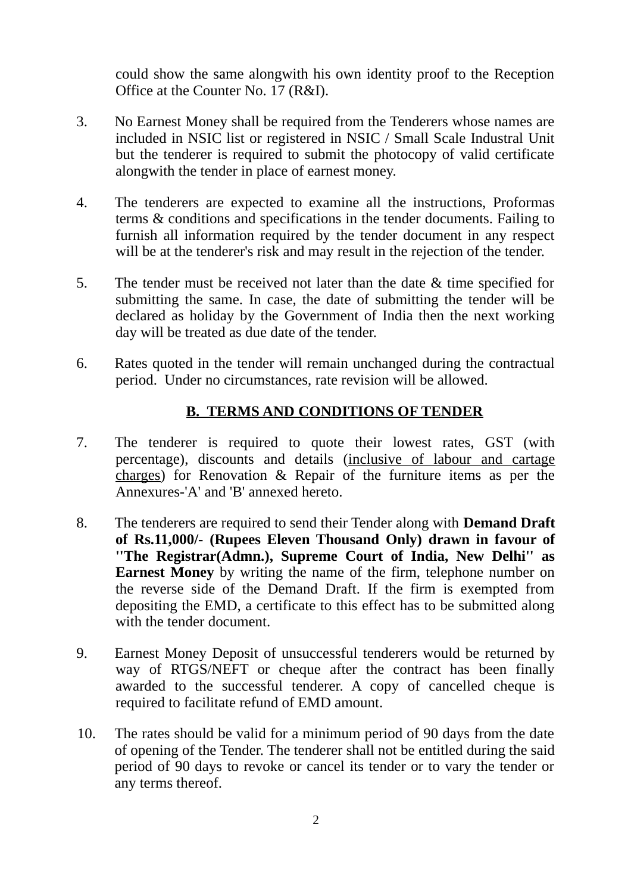could show the same alongwith his own identity proof to the Reception Office at the Counter No. 17 (R&I).

- 3. No Earnest Money shall be required from the Tenderers whose names are included in NSIC list or registered in NSIC / Small Scale Industral Unit but the tenderer is required to submit the photocopy of valid certificate alongwith the tender in place of earnest money.
- 4. The tenderers are expected to examine all the instructions, Proformas terms & conditions and specifications in the tender documents. Failing to furnish all information required by the tender document in any respect will be at the tenderer's risk and may result in the rejection of the tender.
- 5. The tender must be received not later than the date & time specified for submitting the same. In case, the date of submitting the tender will be declared as holiday by the Government of India then the next working day will be treated as due date of the tender.
- 6. Rates quoted in the tender will remain unchanged during the contractual period. Under no circumstances, rate revision will be allowed.

# **B. TERMS AND CONDITIONS OF TENDER**

- 7. The tenderer is required to quote their lowest rates, GST (with percentage), discounts and details (inclusive of labour and cartage charges) for Renovation & Repair of the furniture items as per the Annexures-'A' and 'B' annexed hereto.
- 8. The tenderers are required to send their Tender along with **Demand Draft of Rs.11,000/- (Rupees Eleven Thousand Only) drawn in favour of ''The Registrar(Admn.), Supreme Court of India, New Delhi'' as Earnest Money** by writing the name of the firm, telephone number on the reverse side of the Demand Draft. If the firm is exempted from depositing the EMD, a certificate to this effect has to be submitted along with the tender document.
- 9. Earnest Money Deposit of unsuccessful tenderers would be returned by way of RTGS/NEFT or cheque after the contract has been finally awarded to the successful tenderer. A copy of cancelled cheque is required to facilitate refund of EMD amount.
- 10. The rates should be valid for a minimum period of 90 days from the date of opening of the Tender. The tenderer shall not be entitled during the said period of 90 days to revoke or cancel its tender or to vary the tender or any terms thereof.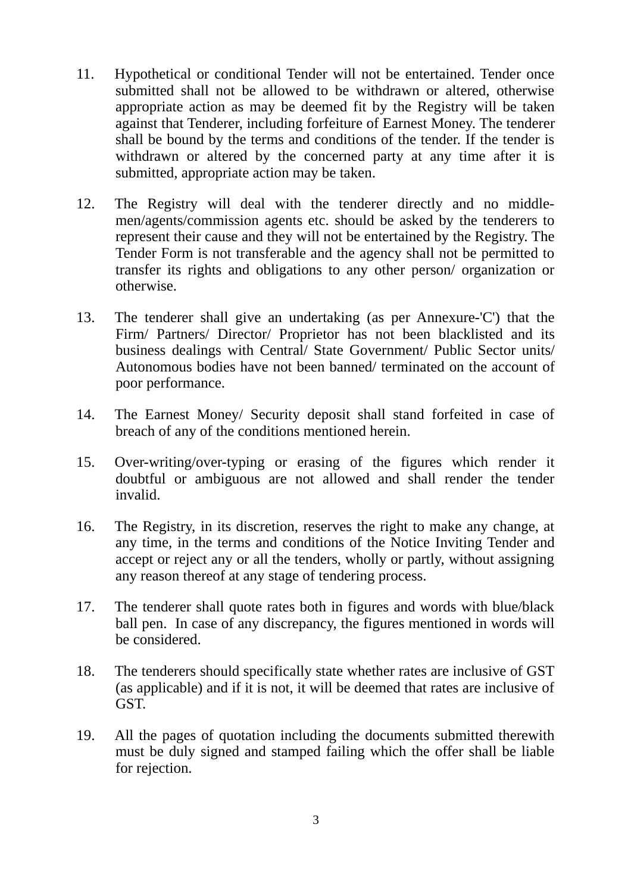- 11. Hypothetical or conditional Tender will not be entertained. Tender once submitted shall not be allowed to be withdrawn or altered, otherwise appropriate action as may be deemed fit by the Registry will be taken against that Tenderer, including forfeiture of Earnest Money. The tenderer shall be bound by the terms and conditions of the tender. If the tender is withdrawn or altered by the concerned party at any time after it is submitted, appropriate action may be taken.
- 12. The Registry will deal with the tenderer directly and no middlemen/agents/commission agents etc. should be asked by the tenderers to represent their cause and they will not be entertained by the Registry. The Tender Form is not transferable and the agency shall not be permitted to transfer its rights and obligations to any other person/ organization or otherwise.
- 13. The tenderer shall give an undertaking (as per Annexure-'C') that the Firm/ Partners/ Director/ Proprietor has not been blacklisted and its business dealings with Central/ State Government/ Public Sector units/ Autonomous bodies have not been banned/ terminated on the account of poor performance.
- 14. The Earnest Money/ Security deposit shall stand forfeited in case of breach of any of the conditions mentioned herein.
- 15. Over-writing/over-typing or erasing of the figures which render it doubtful or ambiguous are not allowed and shall render the tender invalid.
- 16. The Registry, in its discretion, reserves the right to make any change, at any time, in the terms and conditions of the Notice Inviting Tender and accept or reject any or all the tenders, wholly or partly, without assigning any reason thereof at any stage of tendering process.
- 17. The tenderer shall quote rates both in figures and words with blue/black ball pen. In case of any discrepancy, the figures mentioned in words will be considered.
- 18. The tenderers should specifically state whether rates are inclusive of GST (as applicable) and if it is not, it will be deemed that rates are inclusive of GST.
- 19. All the pages of quotation including the documents submitted therewith must be duly signed and stamped failing which the offer shall be liable for rejection.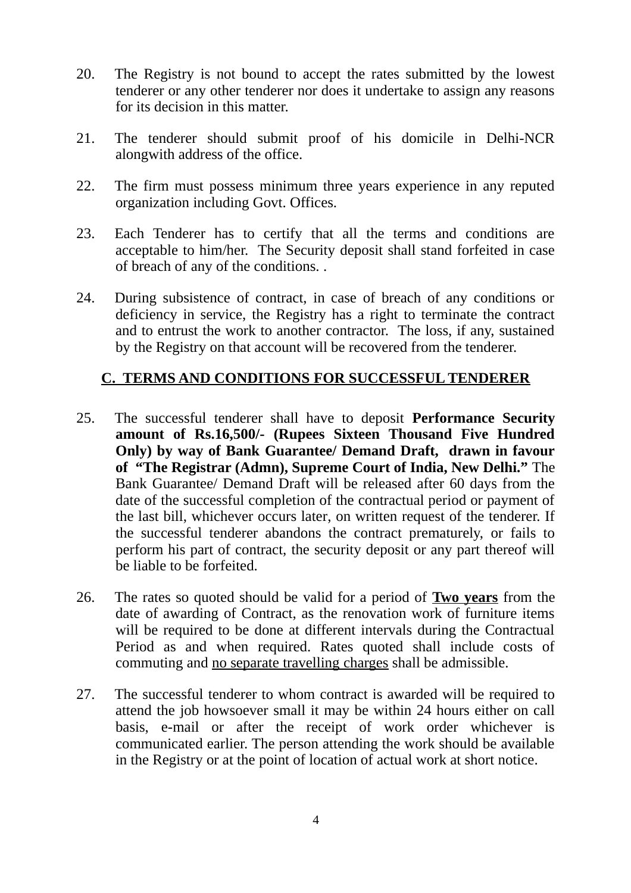- 20. The Registry is not bound to accept the rates submitted by the lowest tenderer or any other tenderer nor does it undertake to assign any reasons for its decision in this matter.
- 21. The tenderer should submit proof of his domicile in Delhi-NCR alongwith address of the office.
- 22. The firm must possess minimum three years experience in any reputed organization including Govt. Offices.
- 23. Each Tenderer has to certify that all the terms and conditions are acceptable to him/her. The Security deposit shall stand forfeited in case of breach of any of the conditions. .
- 24. During subsistence of contract, in case of breach of any conditions or deficiency in service, the Registry has a right to terminate the contract and to entrust the work to another contractor. The loss, if any, sustained by the Registry on that account will be recovered from the tenderer.

# **C. TERMS AND CONDITIONS FOR SUCCESSFUL TENDERER**

- 25. The successful tenderer shall have to deposit **Performance Security amount of Rs.16,500/- (Rupees Sixteen Thousand Five Hundred Only) by way of Bank Guarantee/ Demand Draft, drawn in favour of "The Registrar (Admn), Supreme Court of India, New Delhi."** The Bank Guarantee/ Demand Draft will be released after 60 days from the date of the successful completion of the contractual period or payment of the last bill, whichever occurs later, on written request of the tenderer. If the successful tenderer abandons the contract prematurely, or fails to perform his part of contract, the security deposit or any part thereof will be liable to be forfeited.
- 26. The rates so quoted should be valid for a period of **Two years** from the date of awarding of Contract, as the renovation work of furniture items will be required to be done at different intervals during the Contractual Period as and when required. Rates quoted shall include costs of commuting and no separate travelling charges shall be admissible.
- 27. The successful tenderer to whom contract is awarded will be required to attend the job howsoever small it may be within 24 hours either on call basis, e-mail or after the receipt of work order whichever is communicated earlier. The person attending the work should be available in the Registry or at the point of location of actual work at short notice.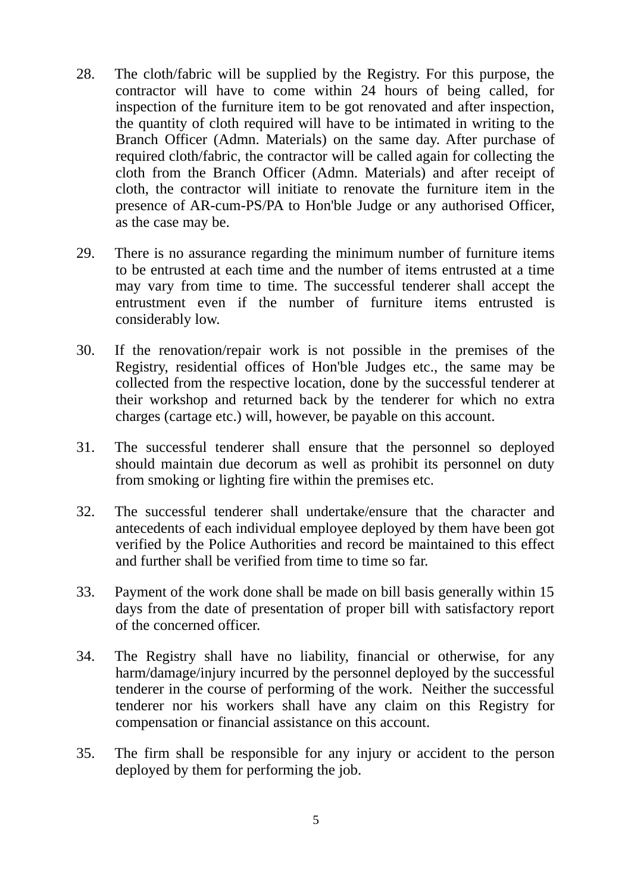- 28. The cloth/fabric will be supplied by the Registry. For this purpose, the contractor will have to come within 24 hours of being called, for inspection of the furniture item to be got renovated and after inspection, the quantity of cloth required will have to be intimated in writing to the Branch Officer (Admn. Materials) on the same day. After purchase of required cloth/fabric, the contractor will be called again for collecting the cloth from the Branch Officer (Admn. Materials) and after receipt of cloth, the contractor will initiate to renovate the furniture item in the presence of AR-cum-PS/PA to Hon'ble Judge or any authorised Officer, as the case may be.
- 29. There is no assurance regarding the minimum number of furniture items to be entrusted at each time and the number of items entrusted at a time may vary from time to time. The successful tenderer shall accept the entrustment even if the number of furniture items entrusted is considerably low.
- 30. If the renovation/repair work is not possible in the premises of the Registry, residential offices of Hon'ble Judges etc., the same may be collected from the respective location, done by the successful tenderer at their workshop and returned back by the tenderer for which no extra charges (cartage etc.) will, however, be payable on this account.
- 31. The successful tenderer shall ensure that the personnel so deployed should maintain due decorum as well as prohibit its personnel on duty from smoking or lighting fire within the premises etc.
- 32. The successful tenderer shall undertake/ensure that the character and antecedents of each individual employee deployed by them have been got verified by the Police Authorities and record be maintained to this effect and further shall be verified from time to time so far.
- 33. Payment of the work done shall be made on bill basis generally within 15 days from the date of presentation of proper bill with satisfactory report of the concerned officer.
- 34. The Registry shall have no liability, financial or otherwise, for any harm/damage/injury incurred by the personnel deployed by the successful tenderer in the course of performing of the work. Neither the successful tenderer nor his workers shall have any claim on this Registry for compensation or financial assistance on this account.
- 35. The firm shall be responsible for any injury or accident to the person deployed by them for performing the job.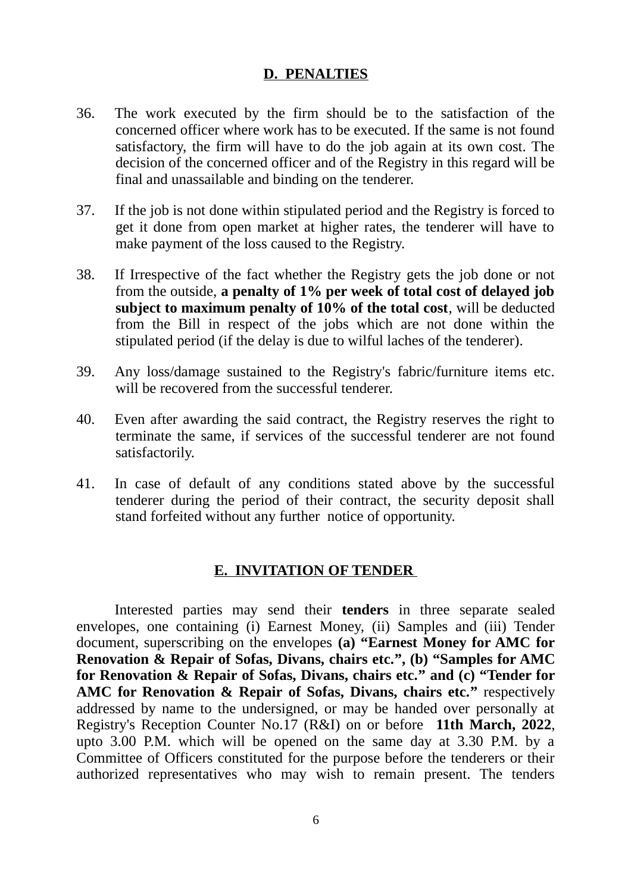### **D. PENALTIES**

- 36. The work executed by the firm should be to the satisfaction of the concerned officer where work has to be executed. If the same is not found satisfactory, the firm will have to do the job again at its own cost. The decision of the concerned officer and of the Registry in this regard will be final and unassailable and binding on the tenderer.
- 37. If the job is not done within stipulated period and the Registry is forced to get it done from open market at higher rates, the tenderer will have to make payment of the loss caused to the Registry.
- 38. If Irrespective of the fact whether the Registry gets the job done or not from the outside, **a penalty of 1% per week of total cost of delayed job subject to maximum penalty of 10% of the total cost**, will be deducted from the Bill in respect of the jobs which are not done within the stipulated period (if the delay is due to wilful laches of the tenderer).
- 39. Any loss/damage sustained to the Registry's fabric/furniture items etc. will be recovered from the successful tenderer.
- 40. Even after awarding the said contract, the Registry reserves the right to terminate the same, if services of the successful tenderer are not found satisfactorily.
- 41. In case of default of any conditions stated above by the successful tenderer during the period of their contract, the security deposit shall stand forfeited without any further notice of opportunity.

### **E. INVITATION OF TENDER**

Interested parties may send their **tenders** in three separate sealed envelopes, one containing (i) Earnest Money, (ii) Samples and (iii) Tender document, superscribing on the envelopes **(a) "Earnest Money for AMC for Renovation & Repair of Sofas, Divans, chairs etc.", (b) "Samples for AMC for Renovation & Repair of Sofas, Divans, chairs etc." and (c) "Tender for AMC for Renovation & Repair of Sofas, Divans, chairs etc."** respectively addressed by name to the undersigned, or may be handed over personally at Registry's Reception Counter No.17 (R&I) on or before **11th March, 2022**, upto 3.00 P.M. which will be opened on the same day at 3.30 P.M. by a Committee of Officers constituted for the purpose before the tenderers or their authorized representatives who may wish to remain present. The tenders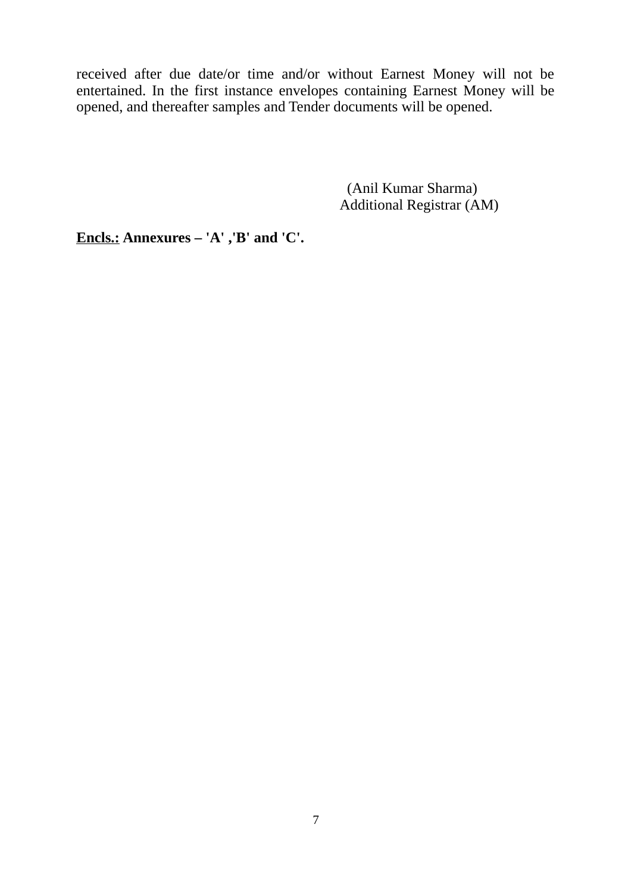received after due date/or time and/or without Earnest Money will not be entertained. In the first instance envelopes containing Earnest Money will be opened, and thereafter samples and Tender documents will be opened.

> (Anil Kumar Sharma) Additional Registrar (AM)

**Encls.: Annexures – 'A' ,'B' and 'C'.**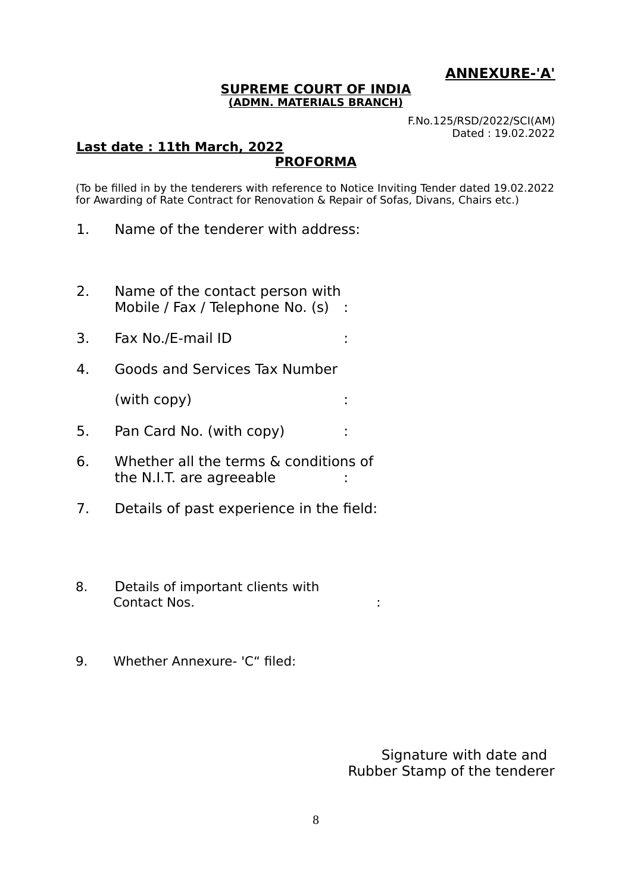### **ANNEXURE-'A'**

#### **SUPREME COURT OF INDIA (ADMN. MATERIALS BRANCH)**

F.No.125/RSD/2022/SCI(AM) Dated : 19.02.2022

#### **Last date : 11th March, 2022 PROFORMA**

(To be filled in by the tenderers with reference to Notice Inviting Tender dated 19.02.2022 for Awarding of Rate Contract for Renovation & Repair of Sofas, Divans, Chairs etc.)

- 1. Name of the tenderer with address:
- 2. Name of the contact person with Mobile / Fax / Telephone No. (s) :
- 3. Fax No./E-mail ID :
- 4. Goods and Services Tax Number

(with copy) :

- 5. Pan Card No. (with copy) :
- 6. Whether all the terms & conditions of the N.I.T. are agreeable :
- 7. Details of past experience in the field:
- 8. Details of important clients with Contact Nos. :
- 9. Whether Annexure- 'C" filed:

 Signature with date and Rubber Stamp of the tenderer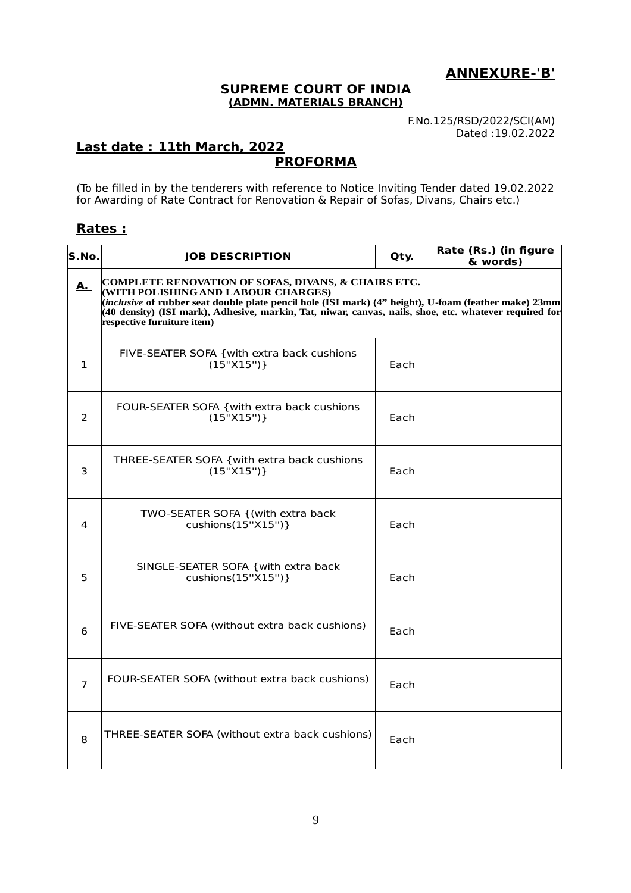**ANNEXURE-'B'**

#### **SUPREME COURT OF INDIA (ADMN. MATERIALS BRANCH)**

F.No.125/RSD/2022/SCI(AM) Dated :19.02.2022

#### **Last date : 11th March, 2022 PROFORMA**

(To be filled in by the tenderers with reference to Notice Inviting Tender dated 19.02.2022 for Awarding of Rate Contract for Renovation & Repair of Sofas, Divans, Chairs etc.)

### **Rates :**

| S.No.          | <b>JOB DESCRIPTION</b>                                                                                                                                                                                                                                                                                                                                | Qty. | Rate (Rs.) (in figure<br>& words) |
|----------------|-------------------------------------------------------------------------------------------------------------------------------------------------------------------------------------------------------------------------------------------------------------------------------------------------------------------------------------------------------|------|-----------------------------------|
| <u>A. </u>     | COMPLETE RENOVATION OF SOFAS, DIVANS, & CHAIRS ETC.<br>(WITH POLISHING AND LABOUR CHARGES)<br>$\hat{p}$ inclusive of rubber seat double plate pencil hole (ISI mark) (4" height), U-foam (feather make) 23mm)<br>(40 density) (ISI mark), Adhesive, markin, Tat, niwar, canvas, nails, shoe, etc. whatever required for<br>respective furniture item) |      |                                   |
| $\mathbf{1}$   | FIVE-SEATER SOFA { with extra back cushions<br>(15"X15")                                                                                                                                                                                                                                                                                              | Each |                                   |
| 2              | FOUR-SEATER SOFA { with extra back cushions<br>(15"X15")                                                                                                                                                                                                                                                                                              | Each |                                   |
| 3              | THREE-SEATER SOFA { with extra back cushions<br>(15"X15")                                                                                                                                                                                                                                                                                             | Each |                                   |
| 4              | TWO-SEATER SOFA {(with extra back<br>cushions(15"X15")}                                                                                                                                                                                                                                                                                               | Each |                                   |
| 5              | SINGLE-SEATER SOFA { with extra back<br>cushions(15"X15")}                                                                                                                                                                                                                                                                                            | Each |                                   |
| 6              | FIVE-SEATER SOFA (without extra back cushions)                                                                                                                                                                                                                                                                                                        | Each |                                   |
| $\overline{7}$ | FOUR-SEATER SOFA (without extra back cushions)                                                                                                                                                                                                                                                                                                        | Each |                                   |
| 8              | THREE-SEATER SOFA (without extra back cushions)                                                                                                                                                                                                                                                                                                       | Each |                                   |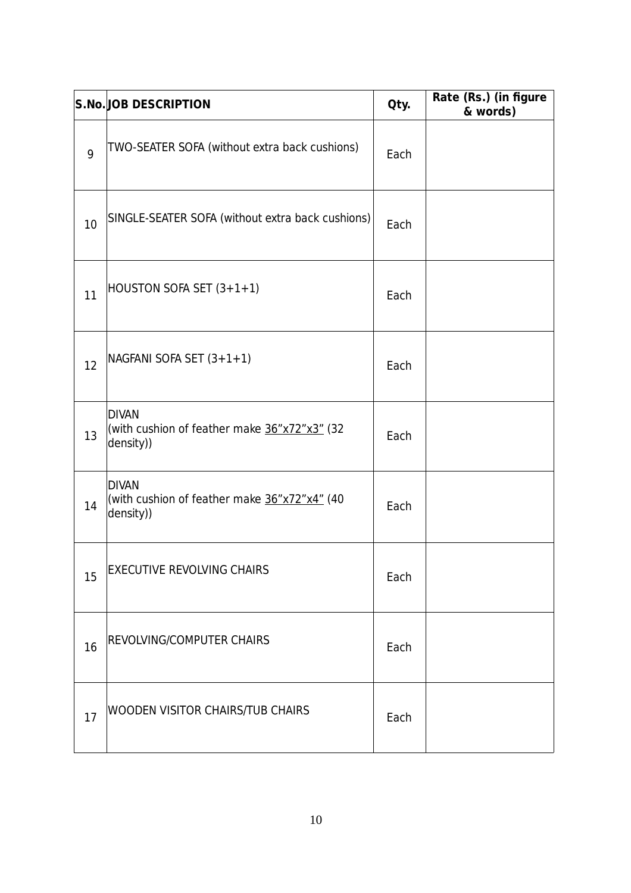|    | <b>S.No.JOB DESCRIPTION</b>                                               | Qty. | Rate (Rs.) (in figure<br>& words) |
|----|---------------------------------------------------------------------------|------|-----------------------------------|
| 9  | TWO-SEATER SOFA (without extra back cushions)                             | Each |                                   |
| 10 | SINGLE-SEATER SOFA (without extra back cushions)                          | Each |                                   |
| 11 | $HOUSTON SOFA SET (3+1+1)$                                                | Each |                                   |
| 12 | NAGFANI SOFA SET (3+1+1)                                                  | Each |                                   |
| 13 | <b>DIVAN</b><br>(with cushion of feather make 36"x72"x3" (32<br>density)) | Each |                                   |
| 14 | <b>DIVAN</b><br>(with cushion of feather make 36"x72"x4" (40<br>density)) | Each |                                   |
| 15 | <b>EXECUTIVE REVOLVING CHAIRS</b>                                         | Each |                                   |
| 16 | REVOLVING/COMPUTER CHAIRS                                                 | Each |                                   |
| 17 | WOODEN VISITOR CHAIRS/TUB CHAIRS                                          | Each |                                   |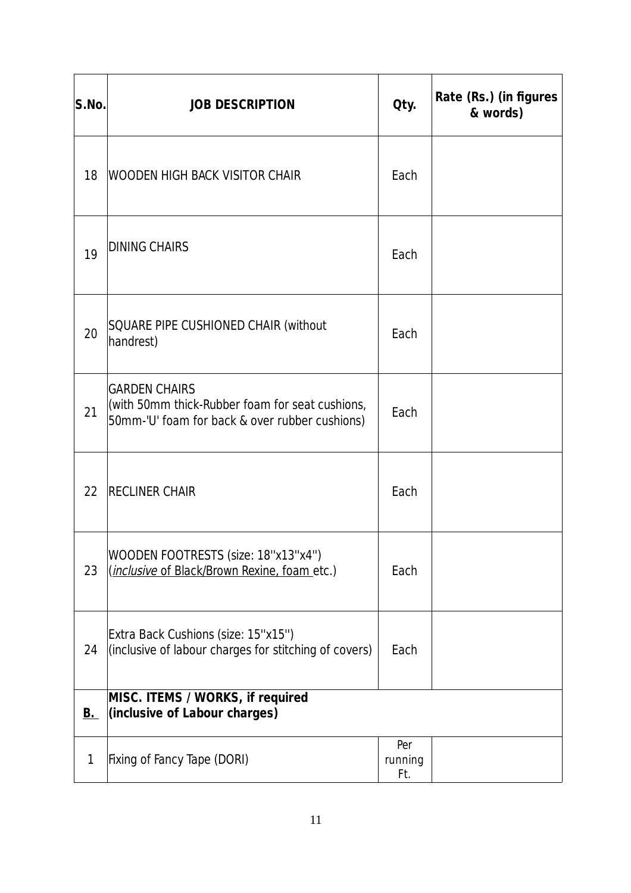| S.No.       | <b>JOB DESCRIPTION</b>                                                                                                    | Qty.                  | Rate (Rs.) (in figures<br>& words) |
|-------------|---------------------------------------------------------------------------------------------------------------------------|-----------------------|------------------------------------|
| 18          | WOODEN HIGH BACK VISITOR CHAIR                                                                                            | Each                  |                                    |
| 19          | <b>DINING CHAIRS</b>                                                                                                      | Each                  |                                    |
| 20          | <b>SQUARE PIPE CUSHIONED CHAIR (without</b><br>handrest)                                                                  | Each                  |                                    |
| 21          | <b>GARDEN CHAIRS</b><br>(with 50mm thick-Rubber foam for seat cushions,<br>50mm-'U' foam for back & over rubber cushions) | Each                  |                                    |
| 22          | <b>RECLINER CHAIR</b>                                                                                                     | Each                  |                                    |
| 23          | WOODEN FOOTRESTS (size: 18"x13"x4")<br>( <i>inclusive</i> of Black/Brown Rexine, foam etc.)                               | Each                  |                                    |
| 24          | Extra Back Cushions (size: 15"x15")<br>(inclusive of labour charges for stitching of covers)                              | Each                  |                                    |
| <u>B.</u>   | MISC. ITEMS / WORKS, if required<br>(inclusive of Labour charges)                                                         |                       |                                    |
| $\mathbf 1$ | Fixing of Fancy Tape (DORI)                                                                                               | Per<br>running<br>Ft. |                                    |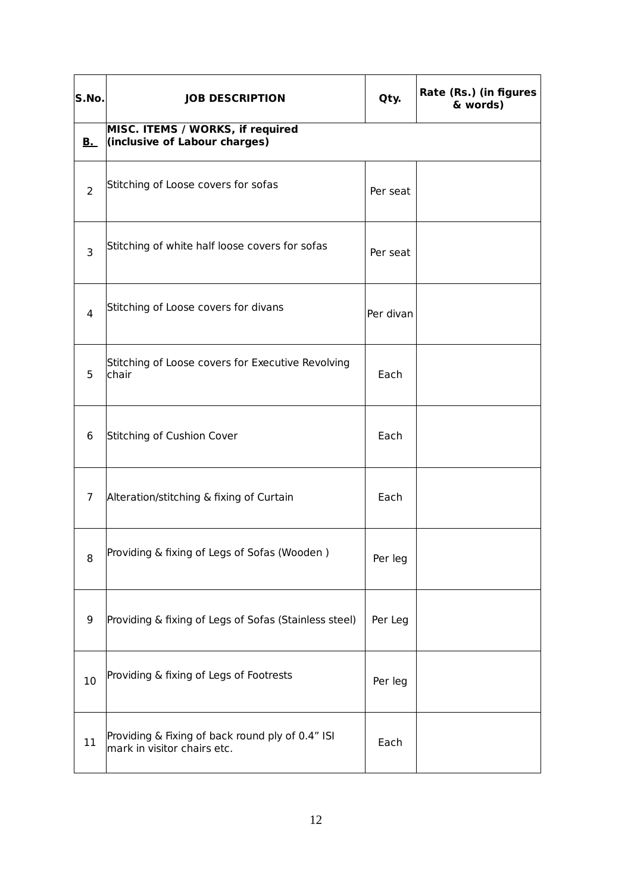| S.No.          | <b>JOB DESCRIPTION</b>                                                          | Qty.      | Rate (Rs.) (in figures<br>& words) |
|----------------|---------------------------------------------------------------------------------|-----------|------------------------------------|
| $B_{-}$        | MISC. ITEMS / WORKS, if required<br>(inclusive of Labour charges)               |           |                                    |
| $\overline{2}$ | Stitching of Loose covers for sofas                                             | Per seat  |                                    |
| 3              | Stitching of white half loose covers for sofas                                  | Per seat  |                                    |
| $\overline{4}$ | Stitching of Loose covers for divans                                            | Per divan |                                    |
| 5              | Stitching of Loose covers for Executive Revolving<br>chair                      | Each      |                                    |
| 6              | Stitching of Cushion Cover                                                      | Each      |                                    |
| $\overline{7}$ | Alteration/stitching & fixing of Curtain                                        | Each      |                                    |
| 8              | Providing & fixing of Legs of Sofas (Wooden)                                    | Per leg   |                                    |
| 9              | Providing & fixing of Legs of Sofas (Stainless steel)                           | Per Leg   |                                    |
| 10             | Providing & fixing of Legs of Footrests                                         | Per leg   |                                    |
| 11             | Providing & Fixing of back round ply of 0.4" ISI<br>mark in visitor chairs etc. | Each      |                                    |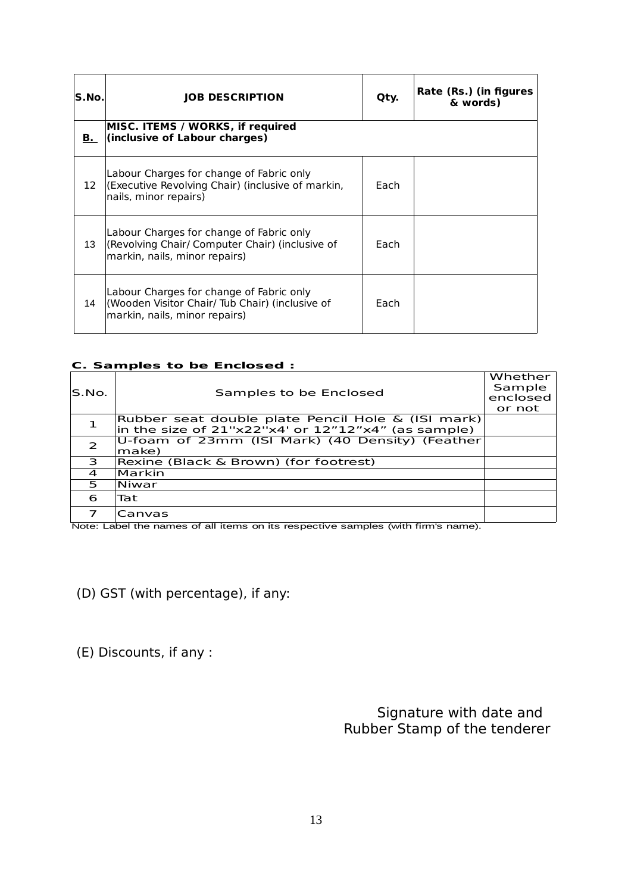| lS.No. | <b>JOB DESCRIPTION</b>                                                                                                       | Qty. | Rate (Rs.) (in figures<br>& words) |
|--------|------------------------------------------------------------------------------------------------------------------------------|------|------------------------------------|
|        | MISC. ITEMS / WORKS, if required<br><b>B.</b> (inclusive of Labour charges)                                                  |      |                                    |
| 12     | Labour Charges for change of Fabric only<br>(Executive Revolving Chair) (inclusive of markin,<br>nails, minor repairs)       | Fach |                                    |
| 13     | Labour Charges for change of Fabric only<br>(Revolving Chair/ Computer Chair) (inclusive of<br>markin, nails, minor repairs) | Each |                                    |
| 14     | Labour Charges for change of Fabric only<br>(Wooden Visitor Chair/ Tub Chair) (inclusive of<br>markin, nails, minor repairs) | Fach |                                    |

#### **C. Samples to be Enclosed :**

| IS.No.         | Samples to be Enclosed                                 | Whether<br>Sample<br>enclosed<br>or not |
|----------------|--------------------------------------------------------|-----------------------------------------|
|                | Rubber seat double plate Pencil Hole & (ISI mark)      |                                         |
|                | in the size of $21"x22"x4"$ or $12"12"x4"$ (as sample) |                                         |
| $\overline{2}$ | U-foam of 23mm (ISI Mark) (40 Density) (Feather        |                                         |
|                | make)                                                  |                                         |
| 3              | Rexine (Black & Brown) (for footrest)                  |                                         |
| $\overline{a}$ | Markin                                                 |                                         |
| 5              | Niwar                                                  |                                         |
| 6              | Tat                                                    |                                         |
| 7              | Canvas                                                 |                                         |
|                |                                                        |                                         |

Note: Label the names of all items on its respective samples (with firm's name).

(D) GST (with percentage), if any:

(E) Discounts, if any :

Signature with date and Rubber Stamp of the tenderer